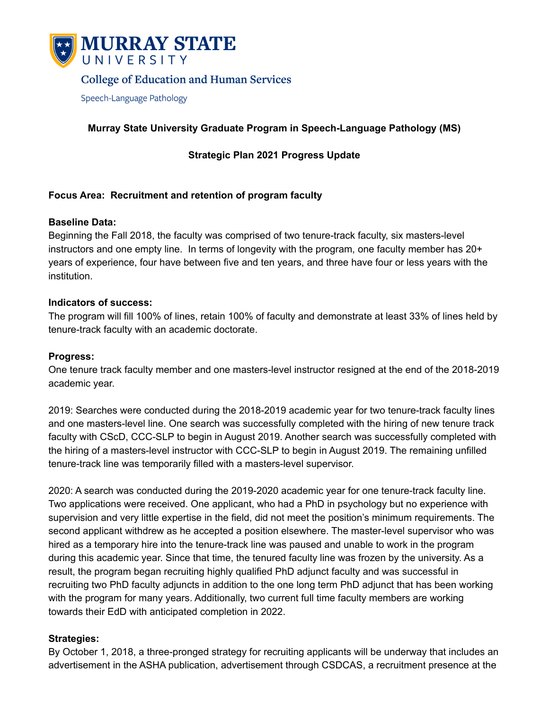

# **College of Education and Human Services**

Speech-Language Pathology

# **Murray State University Graduate Program in Speech-Language Pathology (MS)**

### **Strategic Plan 2021 Progress Update**

### **Focus Area: Recruitment and retention of program faculty**

#### **Baseline Data:**

Beginning the Fall 2018, the faculty was comprised of two tenure-track faculty, six masters-level instructors and one empty line. In terms of longevity with the program, one faculty member has 20+ years of experience, four have between five and ten years, and three have four or less years with the institution.

#### **Indicators of success:**

The program will fill 100% of lines, retain 100% of faculty and demonstrate at least 33% of lines held by tenure-track faculty with an academic doctorate.

#### **Progress:**

One tenure track faculty member and one masters-level instructor resigned at the end of the 2018-2019 academic year.

2019: Searches were conducted during the 2018-2019 academic year for two tenure-track faculty lines and one masters-level line. One search was successfully completed with the hiring of new tenure track faculty with CScD, CCC-SLP to begin in August 2019. Another search was successfully completed with the hiring of a masters-level instructor with CCC-SLP to begin in August 2019. The remaining unfilled tenure-track line was temporarily filled with a masters-level supervisor.

2020: A search was conducted during the 2019-2020 academic year for one tenure-track faculty line. Two applications were received. One applicant, who had a PhD in psychology but no experience with supervision and very little expertise in the field, did not meet the position's minimum requirements. The second applicant withdrew as he accepted a position elsewhere. The master-level supervisor who was hired as a temporary hire into the tenure-track line was paused and unable to work in the program during this academic year. Since that time, the tenured faculty line was frozen by the university. As a result, the program began recruiting highly qualified PhD adjunct faculty and was successful in recruiting two PhD faculty adjuncts in addition to the one long term PhD adjunct that has been working with the program for many years. Additionally, two current full time faculty members are working towards their EdD with anticipated completion in 2022.

#### **Strategies:**

By October 1, 2018, a three-pronged strategy for recruiting applicants will be underway that includes an advertisement in the ASHA publication, advertisement through CSDCAS, a recruitment presence at the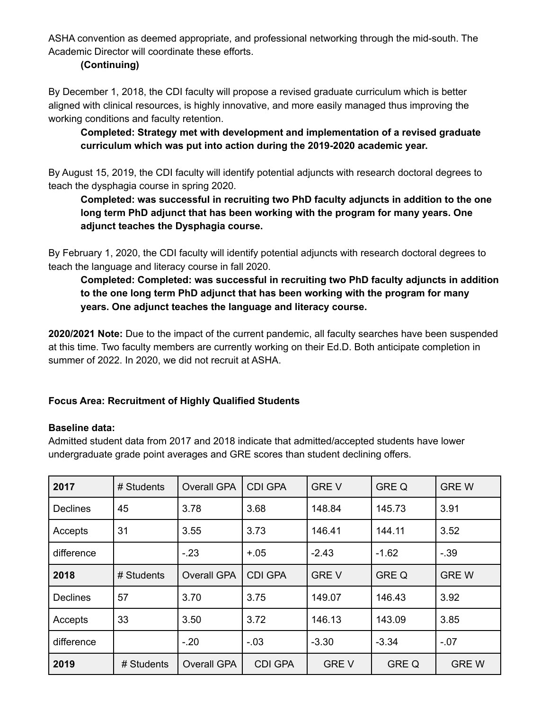ASHA convention as deemed appropriate, and professional networking through the mid-south. The Academic Director will coordinate these efforts.

# **(Continuing)**

By December 1, 2018, the CDI faculty will propose a revised graduate curriculum which is better aligned with clinical resources, is highly innovative, and more easily managed thus improving the working conditions and faculty retention.

# **Completed: Strategy met with development and implementation of a revised graduate curriculum which was put into action during the 2019-2020 academic year.**

By August 15, 2019, the CDI faculty will identify potential adjuncts with research doctoral degrees to teach the dysphagia course in spring 2020.

# **Completed: was successful in recruiting two PhD faculty adjuncts in addition to the one long term PhD adjunct that has been working with the program for many years. One adjunct teaches the Dysphagia course.**

By February 1, 2020, the CDI faculty will identify potential adjuncts with research doctoral degrees to teach the language and literacy course in fall 2020.

# **Completed: Completed: was successful in recruiting two PhD faculty adjuncts in addition to the one long term PhD adjunct that has been working with the program for many years. One adjunct teaches the language and literacy course.**

**2020/2021 Note:** Due to the impact of the current pandemic, all faculty searches have been suspended at this time. Two faculty members are currently working on their Ed.D. Both anticipate completion in summer of 2022. In 2020, we did not recruit at ASHA.

# **Focus Area: Recruitment of Highly Qualified Students**

### **Baseline data:**

Admitted student data from 2017 and 2018 indicate that admitted/accepted students have lower undergraduate grade point averages and GRE scores than student declining offers.

| 2017            | # Students | <b>Overall GPA</b> | <b>CDI GPA</b> | <b>GREV</b> | <b>GRE Q</b> | <b>GREW</b> |
|-----------------|------------|--------------------|----------------|-------------|--------------|-------------|
| <b>Declines</b> | 45         | 3.78               | 3.68           | 148.84      | 145.73       | 3.91        |
| Accepts         | 31         | 3.55               | 3.73           | 146.41      | 144.11       | 3.52        |
| difference      |            | $-23$              | $+.05$         | $-2.43$     | $-1.62$      | $-39$       |
| 2018            | # Students | <b>Overall GPA</b> | <b>CDI GPA</b> | <b>GREV</b> | <b>GRE Q</b> | <b>GREW</b> |
| <b>Declines</b> | 57         | 3.70               | 3.75           | 149.07      | 146.43       | 3.92        |
| Accepts         | 33         | 3.50               | 3.72           | 146.13      | 143.09       | 3.85        |
| difference      |            | $-.20$             | $-.03$         | $-3.30$     | $-3.34$      | $-.07$      |
| 2019            | # Students | <b>Overall GPA</b> | <b>CDI GPA</b> | <b>GREV</b> | <b>GREQ</b>  | <b>GREW</b> |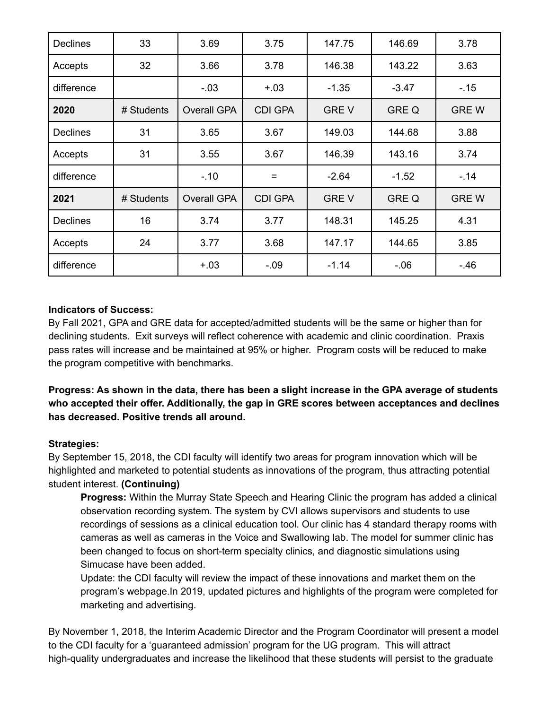| <b>Declines</b> | 33         | 3.69               | 3.75           | 147.75      | 146.69       | 3.78        |
|-----------------|------------|--------------------|----------------|-------------|--------------|-------------|
| Accepts         | 32         | 3.66               | 3.78           | 146.38      | 143.22       | 3.63        |
| difference      |            | $-.03$             | $+.03$         | $-1.35$     | $-3.47$      | $-.15$      |
| 2020            | # Students | <b>Overall GPA</b> | <b>CDI GPA</b> | <b>GREV</b> | <b>GRE Q</b> | <b>GREW</b> |
| <b>Declines</b> | 31         | 3.65               | 3.67           | 149.03      | 144.68       | 3.88        |
| Accepts         | 31         | 3.55               | 3.67           | 146.39      | 143.16       | 3.74        |
| difference      |            | $-10$              | $=$            | $-2.64$     | $-1.52$      | $-14$       |
| 2021            | # Students | <b>Overall GPA</b> | <b>CDI GPA</b> | <b>GREV</b> | <b>GRE Q</b> | <b>GREW</b> |
| <b>Declines</b> | 16         | 3.74               | 3.77           | 148.31      | 145.25       | 4.31        |
| Accepts         | 24         | 3.77               | 3.68           | 147.17      | 144.65       | 3.85        |
| difference      |            | $+.03$             | $-.09$         | $-1.14$     | $-0.06$      | $-.46$      |

### **Indicators of Success:**

By Fall 2021, GPA and GRE data for accepted/admitted students will be the same or higher than for declining students. Exit surveys will reflect coherence with academic and clinic coordination. Praxis pass rates will increase and be maintained at 95% or higher. Program costs will be reduced to make the program competitive with benchmarks.

**Progress: As shown in the data, there has been a slight increase in the GPA average of students who accepted their offer. Additionally, the gap in GRE scores between acceptances and declines has decreased. Positive trends all around.**

### **Strategies:**

By September 15, 2018, the CDI faculty will identify two areas for program innovation which will be highlighted and marketed to potential students as innovations of the program, thus attracting potential student interest. **(Continuing)**

**Progress:** Within the Murray State Speech and Hearing Clinic the program has added a clinical observation recording system. The system by CVI allows supervisors and students to use recordings of sessions as a clinical education tool. Our clinic has 4 standard therapy rooms with cameras as well as cameras in the Voice and Swallowing lab. The model for summer clinic has been changed to focus on short-term specialty clinics, and diagnostic simulations using Simucase have been added.

Update: the CDI faculty will review the impact of these innovations and market them on the program's webpage.In 2019, updated pictures and highlights of the program were completed for marketing and advertising.

By November 1, 2018, the Interim Academic Director and the Program Coordinator will present a model to the CDI faculty for a 'guaranteed admission' program for the UG program. This will attract high-quality undergraduates and increase the likelihood that these students will persist to the graduate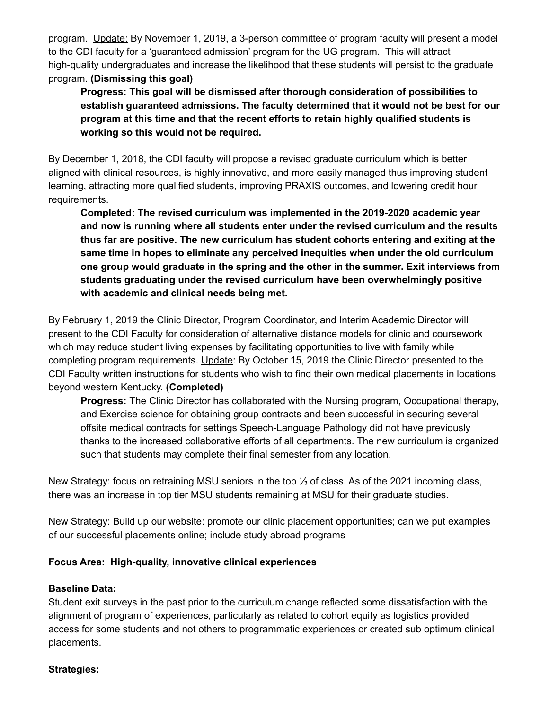program. Update: By November 1, 2019, a 3-person committee of program faculty will present a model to the CDI faculty for a 'guaranteed admission' program for the UG program. This will attract high-quality undergraduates and increase the likelihood that these students will persist to the graduate program. **(Dismissing this goal)**

**Progress: This goal will be dismissed after thorough consideration of possibilities to establish guaranteed admissions. The faculty determined that it would not be best for our program at this time and that the recent efforts to retain highly qualified students is working so this would not be required.**

By December 1, 2018, the CDI faculty will propose a revised graduate curriculum which is better aligned with clinical resources, is highly innovative, and more easily managed thus improving student learning, attracting more qualified students, improving PRAXIS outcomes, and lowering credit hour requirements.

**Completed: The revised curriculum was implemented in the 2019-2020 academic year and now is running where all students enter under the revised curriculum and the results thus far are positive. The new curriculum has student cohorts entering and exiting at the same time in hopes to eliminate any perceived inequities when under the old curriculum one group would graduate in the spring and the other in the summer. Exit interviews from students graduating under the revised curriculum have been overwhelmingly positive with academic and clinical needs being met.**

By February 1, 2019 the Clinic Director, Program Coordinator, and Interim Academic Director will present to the CDI Faculty for consideration of alternative distance models for clinic and coursework which may reduce student living expenses by facilitating opportunities to live with family while completing program requirements. Update: By October 15, 2019 the Clinic Director presented to the CDI Faculty written instructions for students who wish to find their own medical placements in locations beyond western Kentucky. **(Completed)**

**Progress:** The Clinic Director has collaborated with the Nursing program, Occupational therapy, and Exercise science for obtaining group contracts and been successful in securing several offsite medical contracts for settings Speech-Language Pathology did not have previously thanks to the increased collaborative efforts of all departments. The new curriculum is organized such that students may complete their final semester from any location.

New Strategy: focus on retraining MSU seniors in the top ⅓ of class. As of the 2021 incoming class, there was an increase in top tier MSU students remaining at MSU for their graduate studies.

New Strategy: Build up our website: promote our clinic placement opportunities; can we put examples of our successful placements online; include study abroad programs

### **Focus Area: High-quality, innovative clinical experiences**

#### **Baseline Data:**

Student exit surveys in the past prior to the curriculum change reflected some dissatisfaction with the alignment of program of experiences, particularly as related to cohort equity as logistics provided access for some students and not others to programmatic experiences or created sub optimum clinical placements.

#### **Strategies:**